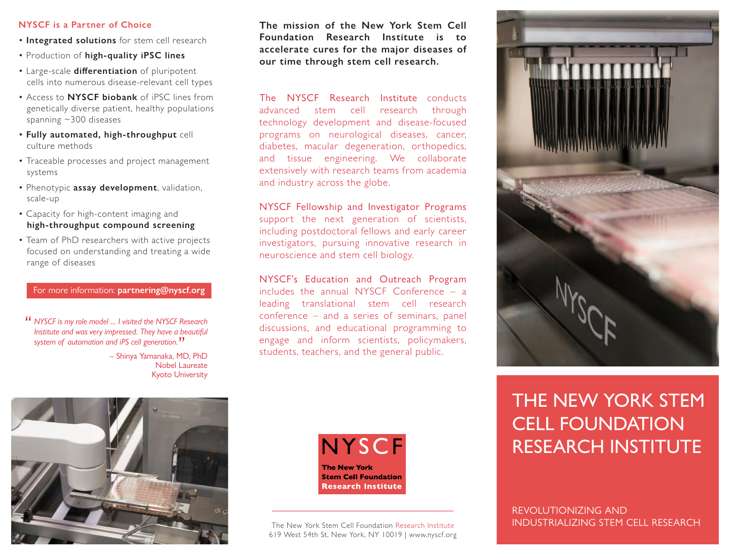#### **NYSCF is a Partner of Choice**

- **Integrated solutions** for stem cell research
- Production of **high-quality iPSC lines**
- Large-scale differentiation of pluripotent cells into numerous disease-relevant cell types
- Access to **NYSCF biobank** of iPSC lines from genetically diverse patient, healthy populations spanning ~300 diseases
- **Fully automated, high-throughput** cell culture methods
- Traceable processes and project management systems
- Phenotypic **assay development**, validation, scale-up
- Capacity for high-content imaging and **high-throughput compound screening**
- Team of PhD researchers with active projects focused on understanding and treating a wide range of diseases

### For more information: **partnering@nyscf.org**

*NYSCF is my role model ... I visited the NYSCF Research*  " *Institute and was very impressed. They have a beautiful system of automation and iPS cell generation.* "

– Shinya Yamanaka, MD, PhD Nobel Laureate Kyoto University **The mission of the New York Stem Cell Foundation Research Institute is to accelerate cures for the major diseases of our time through stem cell research.**

The NYSCF Research Institute conducts advanced stem cell research through technology development and disease-focused programs on neurological diseases, cancer, diabetes, macular degeneration, orthopedics, and tissue engineering. We collaborate extensively with research teams from academia and industry across the globe.

NYSCF Fellowship and Investigator Programs support the next generation of scientists, including postdoctoral fellows and early career investigators, pursuing innovative research in neuroscience and stem cell biology.

NYSCF's Education and Outreach Program includes the annual NYSCF Conference – a leading translational stem cell research conference – and a series of seminars, panel discussions, and educational programming to engage and inform scientists, policymakers, students, teachers, and the general public.



The New York Stem Cell Foundation Research Institute 619 West 54th St, New York, NY 10019 | www.nyscf.org



# THE NEW YORK STEM CELL FOUNDATION RESEARCH INSTITUTE

REVOLUTIONIZING AND INDUSTRIALIZING STEM CELL RESEARCH